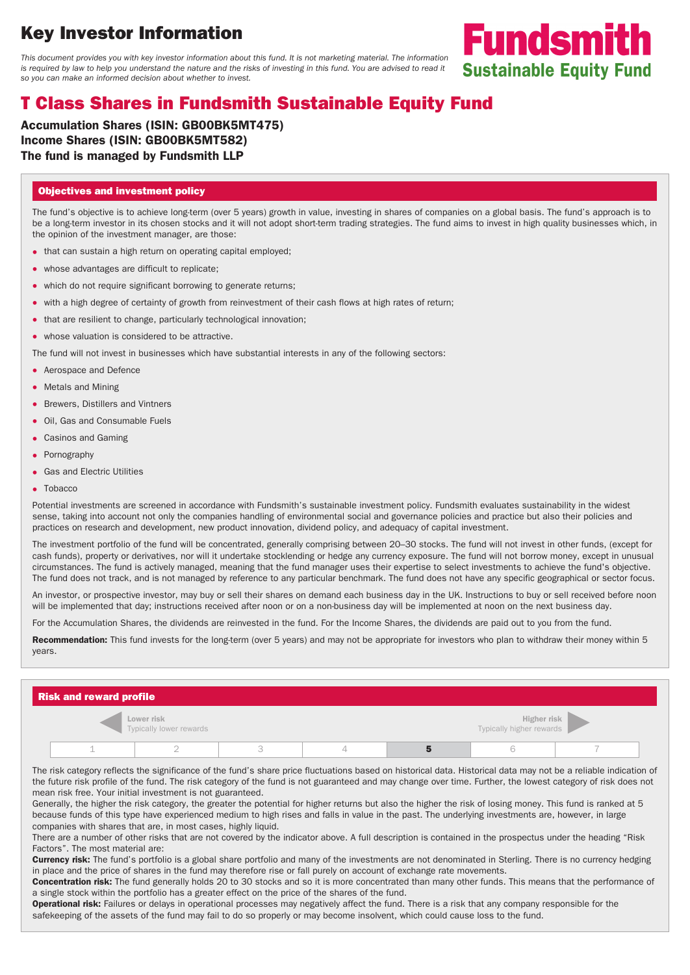# **Key Investor Information**

This document provides you with key investor information about this fund. It is not marketing material. The information is required by law to help you understand the nature and the risks of investing in this fund. You are advised to read it so you can make an informed decision about whether to invest.

## **T Class Shares in Fundsmith Sustainable Equity Fund**

**Accumulation Shares (ISIN: GB00BK5MT475) Income Shares (ISIN: GB00BK5MT582) The fund is managed by Fundsmith LLP**

#### **Objectives and investment policy**

The fund's objective is to achieve long-term (over 5 years) growth in value, investing in shares of companies on a global basis. The fund's approach is to be a long-term investor in its chosen stocks and it will not adopt short-term trading strategies. The fund aims to invest in high quality businesses which, in the opinion of the investment manager, are those:

**Fundsmith** 

**Sustainable Equity Fund** 

- that can sustain a high return on operating capital employed;
- whose advantages are difficult to replicate;
- which do not require significant borrowing to generate returns;
- with a high degree of certainty of growth from reinvestment of their cash flows at high rates of return;
- that are resilient to change, particularly technological innovation;
- whose valuation is considered to be attractive.

The fund will not invest in businesses which have substantial interests in any of the following sectors:

- Aerospace and Defence
- Metals and Mining
- Brewers, Distillers and Vintners
- Oil, Gas and Consumable Fuels
- Casinos and Gaming
- Pornography
- Gas and Electric Utilities
- Tobacco

Potential investments are screened in accordance with Fundsmith's sustainable investment policy. Fundsmith evaluates sustainability in the widest sense, taking into account not only the companies handling of environmental social and governance policies and practice but also their policies and practices on research and development, new product innovation, dividend policy, and adequacy of capital investment.

The investment portfolio of the fund will be concentrated, generally comprising between 20–30 stocks. The fund will not invest in other funds, (except for cash funds), property or derivatives, nor will it undertake stocklending or hedge any currency exposure. The fund will not borrow money, except in unusual circumstances. The fund is actively managed, meaning that the fund manager uses their expertise to select investments to achieve the fund's objective. The fund does not track, and is not managed by reference to any particular benchmark. The fund does not have any specific geographical or sector focus.

An investor, or prospective investor, may buy or sell their shares on demand each business day in the UK. Instructions to buy or sell received before noon will be implemented that day; instructions received after noon or on a non-business day will be implemented at noon on the next business day.

For the Accumulation Shares, the dividends are reinvested in the fund. For the Income Shares, the dividends are paid out to you from the fund.

**Recommendation:** This fund invests for the long-term (over 5 years) and may not be appropriate for investors who plan to withdraw their money within 5 years.

| <b>Risk and reward profile</b> |  |                                              |  |  |  |                                                |  |  |  |
|--------------------------------|--|----------------------------------------------|--|--|--|------------------------------------------------|--|--|--|
|                                |  | <b>Lower risk</b><br>Typically lower rewards |  |  |  | <b>Higher risk</b><br>Typically higher rewards |  |  |  |
|                                |  |                                              |  |  |  |                                                |  |  |  |

The risk category reflects the significance of the fund's share price fluctuations based on historical data. Historical data may not be a reliable indication of the future risk profile of the fund. The risk category of the fund is not guaranteed and may change over time. Further, the lowest category of risk does not mean risk free. Your initial investment is not guaranteed.

Generally, the higher the risk category, the greater the potential for higher returns but also the higher the risk of losing money. This fund is ranked at 5 because funds of this type have experienced medium to high rises and falls in value in the past. The underlying investments are, however, in large companies with shares that are, in most cases, highly liquid.

There are a number of other risks that are not covered by the indicator above. A full description is contained in the prospectus under the heading "Risk Factors". The most material are:

**Currency risk:** The fund's portfolio is a global share portfolio and many of the investments are not denominated in Sterling. There is no currency hedging in place and the price of shares in the fund may therefore rise or fall purely on account of exchange rate movements.

**Concentration risk:** The fund generally holds 20 to 30 stocks and so it is more concentrated than many other funds. This means that the performance of a single stock within the portfolio has a greater effect on the price of the shares of the fund.

**Operational risk:** Failures or delays in operational processes may negatively affect the fund. There is a risk that any company responsible for the safekeeping of the assets of the fund may fail to do so properly or may become insolvent, which could cause loss to the fund.